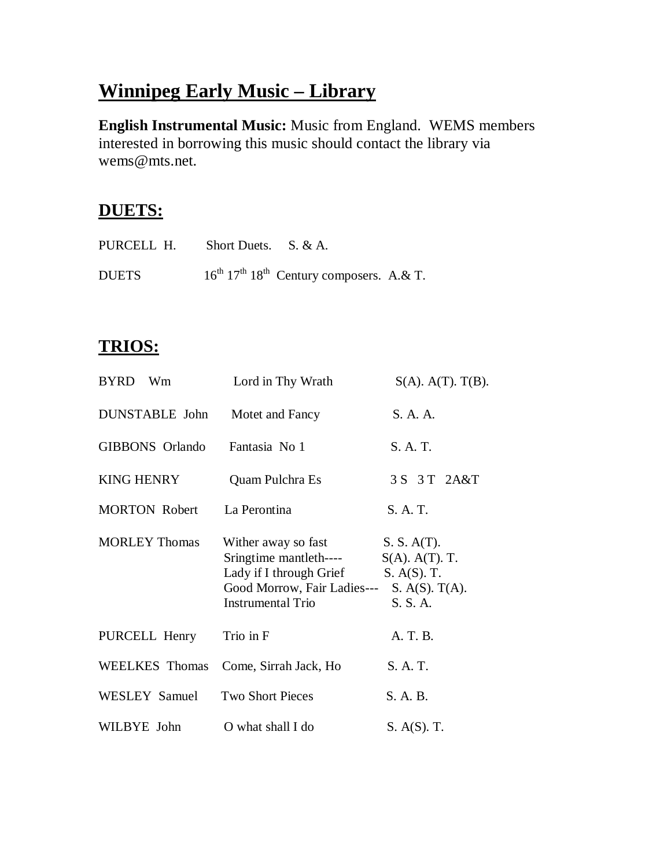# **Winnipeg Early Music – Library**

**English Instrumental Music:** Music from England. WEMS members interested in borrowing this music should contact the library via wems@mts.net.

### **DUETS:**

| PURCELL H.   | Short Duets. S. & A. |                                                         |  |
|--------------|----------------------|---------------------------------------------------------|--|
| <b>DUETS</b> |                      | $16^{th}$ $17^{th}$ $18^{th}$ Century composers. A.& T. |  |

## **TRIOS:**

| BYRD Wm               | Lord in Thy Wrath                                                                                                                   | $S(A)$ . $A(T)$ . $T(B)$ .                                                         |
|-----------------------|-------------------------------------------------------------------------------------------------------------------------------------|------------------------------------------------------------------------------------|
| <b>DUNSTABLE</b> John | Motet and Fancy                                                                                                                     | S. A. A.                                                                           |
| GIBBONS Orlando       | Fantasia No 1                                                                                                                       | S. A. T.                                                                           |
| <b>KING HENRY</b>     | Quam Pulchra Es                                                                                                                     | 3 S 3 T 2A&T                                                                       |
| <b>MORTON Robert</b>  | La Perontina                                                                                                                        | S. A. T.                                                                           |
| <b>MORLEY Thomas</b>  | Wither away so fast<br>Sringtime mantleth----<br>Lady if I through Grief<br>Good Morrow, Fair Ladies---<br><b>Instrumental Trio</b> | S. S. A(T).<br>$S(A)$ . $A(T)$ . T.<br>$S. A(S).$ T.<br>S. A(S). T(A).<br>S. S. A. |
| PURCELL Henry         | Trio in F                                                                                                                           | A. T. B.                                                                           |
| <b>WEELKES</b> Thomas | Come, Sirrah Jack, Ho                                                                                                               | S. A. T.                                                                           |
| WESLEY Samuel         | <b>Two Short Pieces</b>                                                                                                             | S. A. B.                                                                           |
| WILBYE John           | O what shall I do                                                                                                                   | S. A(S). T.                                                                        |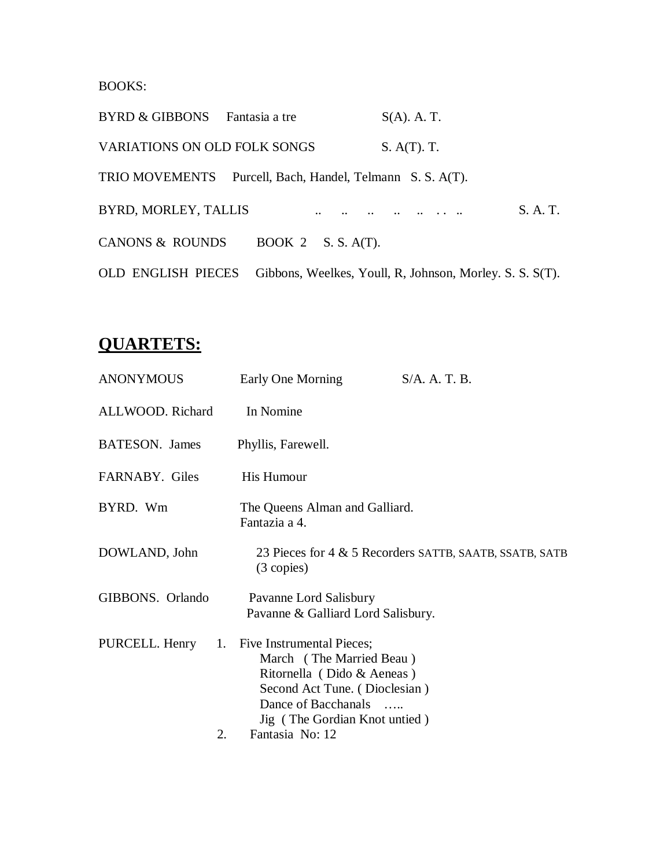BOOKS:

| <b>BYRD &amp; GIBBONS</b>    | Fantasia a tre                                            | $S(A)$ . A. T.                                           |          |
|------------------------------|-----------------------------------------------------------|----------------------------------------------------------|----------|
| VARIATIONS ON OLD FOLK SONGS |                                                           | $S. A(T).$ T.                                            |          |
|                              | TRIO MOVEMENTS Purcell, Bach, Handel, Telmann S. S. A(T). |                                                          |          |
| BYRD, MORLEY, TALLIS         |                                                           |                                                          | S. A. T. |
| <b>CANONS &amp; ROUNDS</b>   | BOOK 2 $S. S. A(T)$ .                                     |                                                          |          |
| <b>OLD ENGLISH PIECES</b>    |                                                           | Gibbons, Weelkes, Youll, R, Johnson, Morley. S. S. S(T). |          |

# **QUARTETS:**

| <b>ANONYMOUS</b> | Early One Morning                                                                                                                                                               | S/A. A. T. B.                                           |
|------------------|---------------------------------------------------------------------------------------------------------------------------------------------------------------------------------|---------------------------------------------------------|
| ALLWOOD. Richard | In Nomine                                                                                                                                                                       |                                                         |
| BATESON. James   | Phyllis, Farewell.                                                                                                                                                              |                                                         |
| FARNABY. Giles   | His Humour                                                                                                                                                                      |                                                         |
| BYRD. Wm         | The Queens Alman and Galliard.<br>Fantazia a 4.                                                                                                                                 |                                                         |
| DOWLAND, John    | $(3$ copies)                                                                                                                                                                    | 23 Pieces for 4 & 5 Recorders SATTB, SAATB, SSATB, SATB |
| GIBBONS. Orlando | Pavanne Lord Salisbury<br>Pavanne & Galliard Lord Salisbury.                                                                                                                    |                                                         |
| PURCELL. Henry   | 1. Five Instrumental Pieces;<br>March (The Married Beau)<br>Ritornella (Dido & Aeneas)<br>Second Act Tune. (Dioclesian)<br>Dance of Bacchanals<br>Jig (The Gordian Knot untied) |                                                         |
| 2.               | Fantasia No: 12                                                                                                                                                                 |                                                         |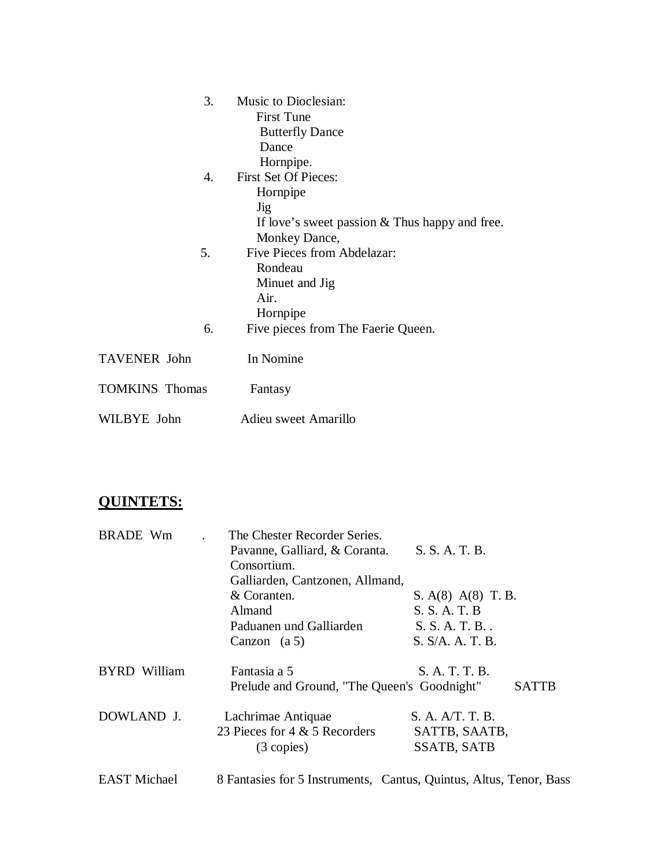| 3.                    | Music to Dioclesian:                             |
|-----------------------|--------------------------------------------------|
|                       | <b>First Tune</b>                                |
|                       | <b>Butterfly Dance</b>                           |
|                       | Dance                                            |
|                       | Hornpipe.                                        |
| 4.                    | <b>First Set Of Pieces:</b>                      |
|                       | Hornpipe                                         |
|                       | Jig                                              |
|                       | If love's sweet passion $&$ Thus happy and free. |
|                       | Monkey Dance,                                    |
| 5.                    | Five Pieces from Abdelazar:                      |
|                       | Rondeau                                          |
|                       | Minuet and Jig                                   |
|                       | Air.                                             |
|                       | Hornpipe                                         |
| 6.                    | Five pieces from The Faerie Queen.               |
| <b>TAVENER</b> John   | In Nomine                                        |
| <b>TOMKINS</b> Thomas | Fantasy                                          |
| WILBYE John           | Adieu sweet Amarillo                             |

## **QUINTETS:**

| <b>BRADE Wm</b>     | The Chester Recorder Series.                |                        |       |
|---------------------|---------------------------------------------|------------------------|-------|
|                     | Pavanne, Galliard, & Coranta.               | S. S. A. T. B.         |       |
|                     | Consortium.                                 |                        |       |
|                     | Galliarden, Cantzonen, Allmand,             |                        |       |
|                     | & Coranten.                                 | S. $A(8)$ $A(8)$ T. B. |       |
|                     | Almand                                      | S. S. A. T. B          |       |
|                     | Paduanen und Galliarden                     | S. S. A. T. B.         |       |
|                     | Canzon $(a 5)$                              | S. S/A. A. T. B.       |       |
| <b>BYRD</b> William | Fantasia a 5                                | S. A. T. T. B.         |       |
|                     | Prelude and Ground, "The Queen's Goodnight" |                        | SATTB |
| DOWLAND J.          | Lachrimae Antiquae                          | S. A. A/T. T. B.       |       |
|                     | 23 Pieces for 4 & 5 Recorders               | SATTB, SAATB,          |       |
|                     | $(3$ copies)                                | <b>SSATB, SATB</b>     |       |
|                     |                                             |                        |       |

EAST Michael 8 Fantasies for 5 Instruments, Cantus, Quintus, Altus, Tenor, Bass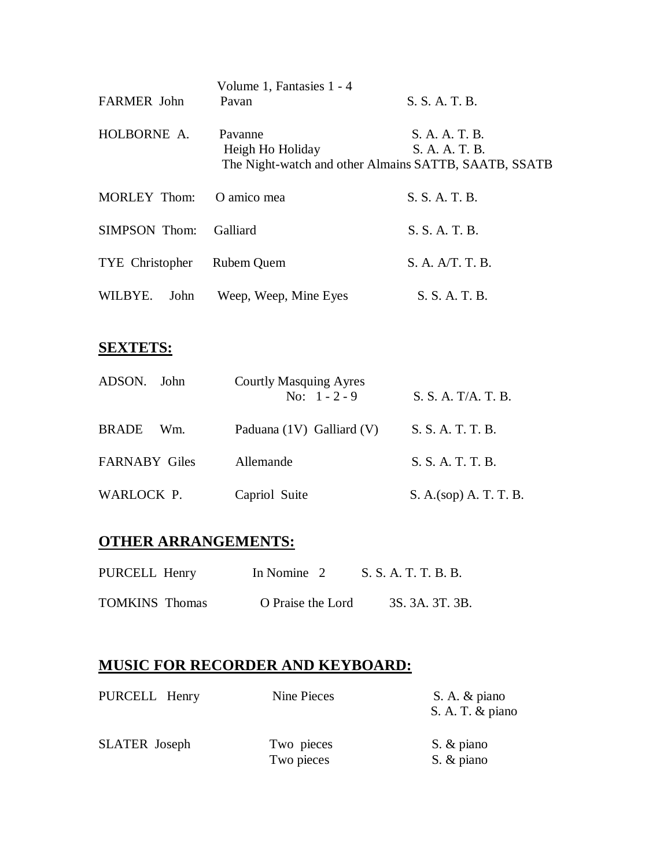| <b>FARMER</b> John   | Volume 1, Fantasies 1 - 4<br>Pavan                                                   | S. S. A. T. B.                   |
|----------------------|--------------------------------------------------------------------------------------|----------------------------------|
| HOLBORNE A.          | Pavanne<br>Heigh Ho Holiday<br>The Night-watch and other Almains SATTB, SAATB, SSATB | S. A. A. T. B.<br>S. A. A. T. B. |
| <b>MORLEY Thom:</b>  | O amico mea                                                                          | S. S. A. T. B.                   |
| <b>SIMPSON</b> Thom: | <b>Galliard</b>                                                                      | S. S. A. T. B.                   |
| TYE Christopher      | Rubem Quem                                                                           | S. A. A/T. T. B.                 |
| WILBYE.<br>John      | Weep, Weep, Mine Eyes                                                                | S. S. A. T. B.                   |
|                      |                                                                                      |                                  |

### **SEXTETS:**

| ADSON. John          | <b>Courtly Masquing Ayres</b><br>No: $1 - 2 - 9$ | S. S. A. T/A. T. B.    |
|----------------------|--------------------------------------------------|------------------------|
| <b>BRADE</b><br>Wm.  | Paduana (1V) Galliard (V)                        | S. S. A. T. T. B.      |
| <b>FARNABY Giles</b> | Allemande                                        | S. S. A. T. T. B.      |
| WARLOCK P.           | Capriol Suite                                    | S. A.(sop) A. T. T. B. |

#### **OTHER ARRANGEMENTS:**

| PURCELL Henry         | In Nomine 2       | S. S. A. T. T. B. B. |                 |
|-----------------------|-------------------|----------------------|-----------------|
| <b>TOMKINS Thomas</b> | O Praise the Lord |                      | 3S. 3A. 3T. 3B. |

#### **MUSIC FOR RECORDER AND KEYBOARD:**

| PURCELL Henry        | Nine Pieces              | S. A. & piano<br>S. A. T. & piano |
|----------------------|--------------------------|-----------------------------------|
| <b>SLATER</b> Joseph | Two pieces<br>Two pieces | S. & piano<br>S. & piano          |